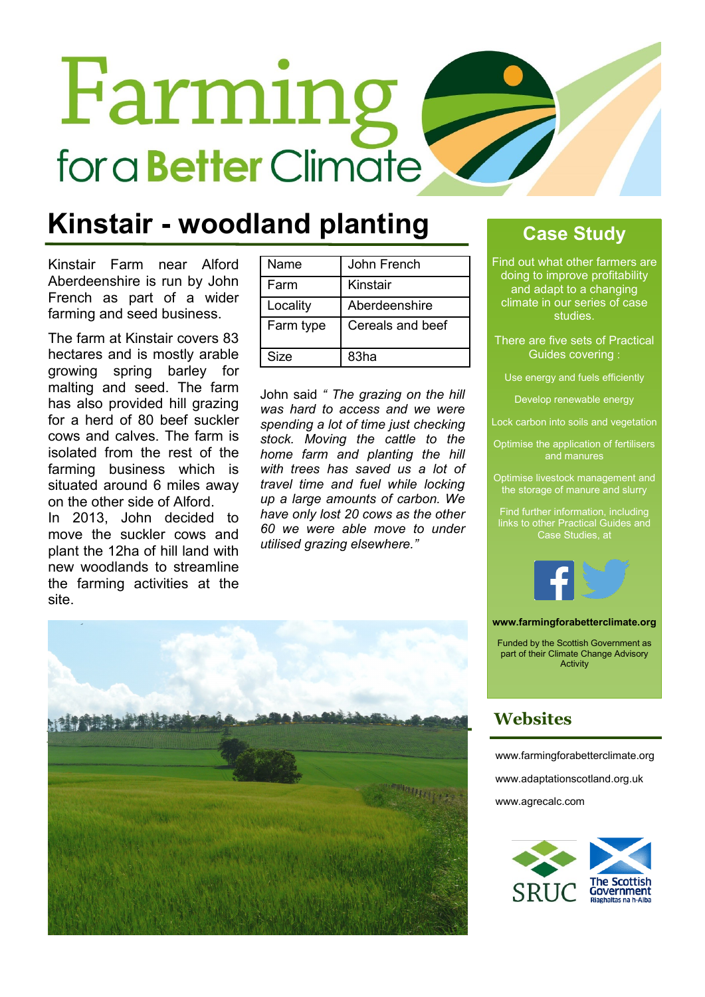# Farming for a **Better** Climate

### **Kinstair - woodland planting**

Kinstair Farm near Alford Aberdeenshire is run by John French as part of a wider farming and seed business.

The farm at Kinstair covers 83 hectares and is mostly arable growing spring barley for malting and seed. The farm has also provided hill grazing for a herd of 80 beef suckler cows and calves. The farm is isolated from the rest of the farming business which is situated around 6 miles away on the other side of Alford.

In 2013, John decided to move the suckler cows and plant the 12ha of hill land with new woodlands to streamline the farming activities at the site.

| Name      | John French      |  |
|-----------|------------------|--|
| Farm      | Kinstair         |  |
| Locality  | Aberdeenshire    |  |
| Farm type | Cereals and beef |  |
| Size      | 83ha             |  |

John said *" The grazing on the hill was hard to access and we were spending a lot of time just checking stock. Moving the cattle to the home farm and planting the hill with trees has saved us a lot of travel time and fuel while locking up a large amounts of carbon. We have only lost 20 cows as the other 60 we were able move to under utilised grazing elsewhere."*

### **Case Study**

Find out what other farmers are doing to improve profitability and adapt to a changing climate in our series of case studies.

There are five sets of Practical Guides covering :

Use energy and fuels efficiently

Develop renewable energy

Lock carbon into soils and vegetation

Optimise the application of fertilisers and manures

Optimise livestock management and the storage of manure and slurry

Find further information, including links to other Practical Guides and Case Studies, at



#### **www.farmingforabetterclimate.org**

Funded by the Scottish Government as part of their Climate Change Advisory **Activity** 

### **Websites**

[www.farmingforabetterclimate.org](http://www.farmingforabetterclimate.org) [www.adaptationscotland.org.uk](http://www.adaptationscotland.org.uk/1/1/0/Home.aspx) [www.agrecalc.com](http://www.agrecalc.com)